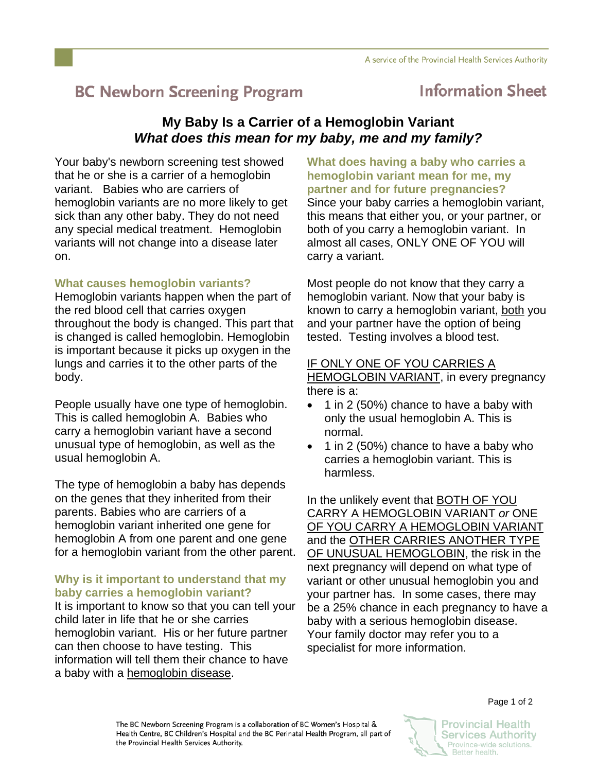# **BC Newborn Screening Program**

## **Information Sheet**

### **My Baby Is a Carrier of a Hemoglobin Variant**  *What does this mean for my baby, me and my family?*

Your baby's newborn screening test showed that he or she is a carrier of a hemoglobin variant. Babies who are carriers of hemoglobin variants are no more likely to get sick than any other baby. They do not need any special medical treatment. Hemoglobin variants will not change into a disease later on.

#### **What causes hemoglobin variants?**

Hemoglobin variants happen when the part of the red blood cell that carries oxygen throughout the body is changed. This part that is changed is called hemoglobin. Hemoglobin is important because it picks up oxygen in the lungs and carries it to the other parts of the body.

People usually have one type of hemoglobin. This is called hemoglobin A. Babies who carry a hemoglobin variant have a second unusual type of hemoglobin, as well as the usual hemoglobin A.

The type of hemoglobin a baby has depends on the genes that they inherited from their parents. Babies who are carriers of a hemoglobin variant inherited one gene for hemoglobin A from one parent and one gene for a hemoglobin variant from the other parent.

#### **Why is it important to understand that my baby carries a hemoglobin variant?**

It is important to know so that you can tell your child later in life that he or she carries hemoglobin variant. His or her future partner can then choose to have testing. This information will tell them their chance to have a baby with a hemoglobin disease.

**What does having a baby who carries a hemoglobin variant mean for me, my partner and for future pregnancies?**  Since your baby carries a hemoglobin variant, this means that either you, or your partner, or both of you carry a hemoglobin variant. In almost all cases, ONLY ONE OF YOU will carry a variant.

Most people do not know that they carry a hemoglobin variant. Now that your baby is known to carry a hemoglobin variant, both you and your partner have the option of being tested. Testing involves a blood test.

#### IF ONLY ONE OF YOU CARRIES A HEMOGLOBIN VARIANT, in every pregnancy there is a:

- 1 in 2 (50%) chance to have a baby with only the usual hemoglobin A. This is normal.
- 1 in 2 (50%) chance to have a baby who carries a hemoglobin variant. This is harmless.

In the unlikely event that BOTH OF YOU CARRY A HEMOGLOBIN VARIANT *or* ONE OF YOU CARRY A HEMOGLOBIN VARIANT and the **OTHER CARRIES ANOTHER TYPE** OF UNUSUAL HEMOGLOBIN, the risk in the next pregnancy will depend on what type of variant or other unusual hemoglobin you and your partner has. In some cases, there may be a 25% chance in each pregnancy to have a baby with a serious hemoglobin disease. Your family doctor may refer you to a specialist for more information.

The BC Newborn Screening Program is a collaboration of BC Women's Hospital & Health Centre, BC Children's Hospital and the BC Perinatal Health Program, all part of the Provincial Health Services Authority.